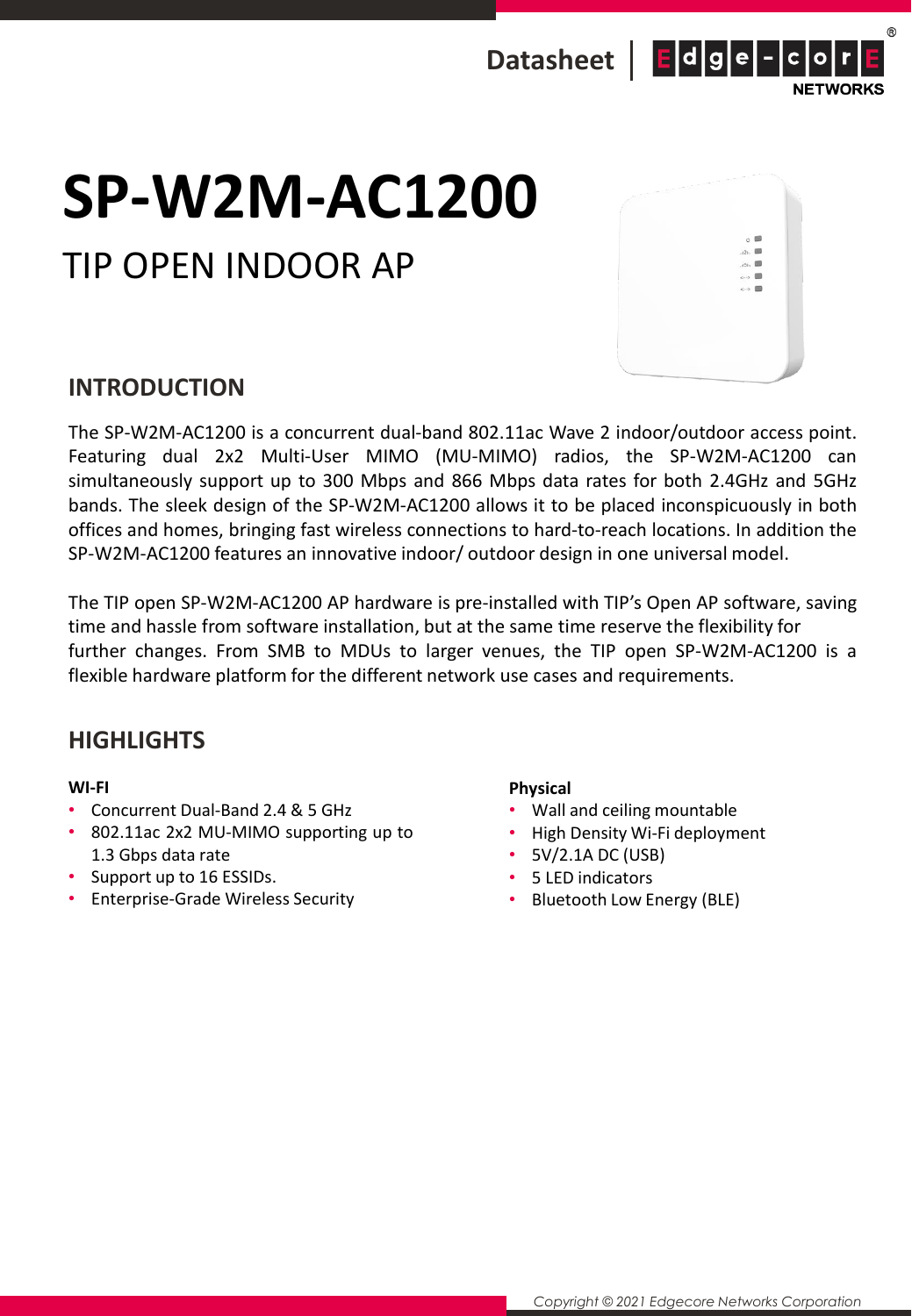

# **SP-W2M-AC1200**

### TIP OPEN INDOOR AP



#### **INTRODUCTION**

The SP-W2M-AC1200 is a concurrent dual-band 802.11ac Wave 2 indoor/outdoor access point. Featuring dual 2x2 Multi-User MIMO (MU-MIMO) radios, the SP-W2M-AC1200 can simultaneously support up to 300 Mbps and 866 Mbps data rates for both 2.4GHz and 5GHz bands. The sleek design of the SP-W2M-AC1200 allows it to be placed inconspicuously in both offices and homes, bringing fast wireless connections to hard-to-reach locations. In addition the SP-W2M-AC1200 features an innovative indoor/ outdoor design in one universal model.

The TIP open SP-W2M-AC1200 AP hardware is pre-installed with TIP's Open AP software, saving time and hassle from software installation, but at the same time reserve the flexibility for further changes. From SMB to MDUs to larger venues, the TIP open SP-W2M-AC1200 is a flexible hardware platform for the different network use cases and requirements.

#### **HIGHLIGHTS**

#### **WI-FI**

- Concurrent Dual-Band 2.4 & 5 GHz
- 802.11ac 2x2 MU-MIMO supporting up to 1.3 Gbps data rate
- Support up to 16 ESSIDs.
- Enterprise-Grade Wireless Security

#### **Physical**

- Wall and ceiling mountable
- High Density Wi-Fi deployment
- 5V/2.1A DC (USB)
- 5 LED indicators
- Bluetooth Low Energy (BLE)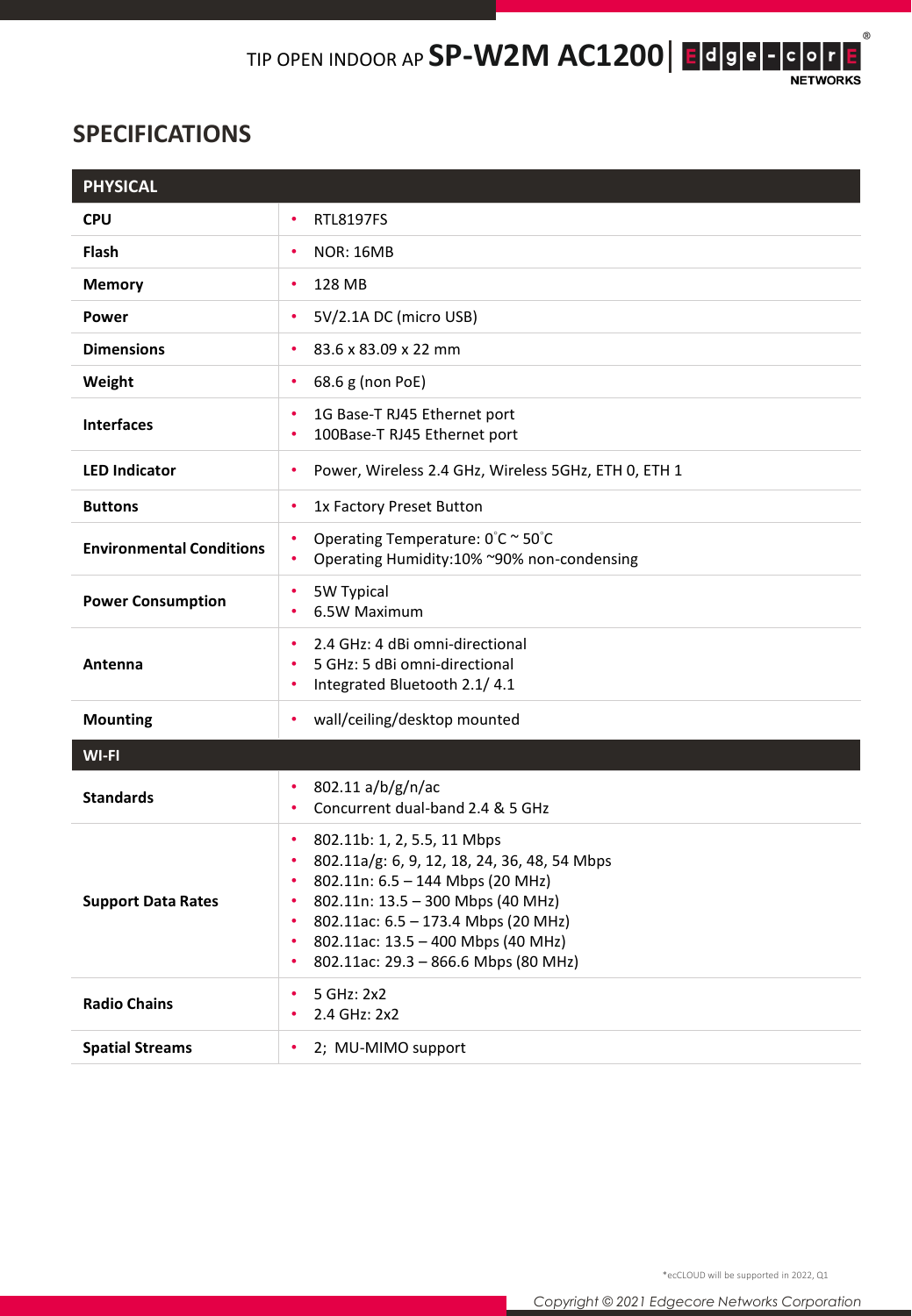$^\circledR$ 

#### **SPECIFICATIONS**

| <b>PHYSICAL</b>                 |                                                                                                                                                                                                                                                                                                              |
|---------------------------------|--------------------------------------------------------------------------------------------------------------------------------------------------------------------------------------------------------------------------------------------------------------------------------------------------------------|
| <b>CPU</b>                      | <b>RTL8197FS</b><br>٠                                                                                                                                                                                                                                                                                        |
| <b>Flash</b>                    | <b>NOR: 16MB</b><br>٠                                                                                                                                                                                                                                                                                        |
| <b>Memory</b>                   | 128 MB<br>٠                                                                                                                                                                                                                                                                                                  |
| <b>Power</b>                    | 5V/2.1A DC (micro USB)<br>٠                                                                                                                                                                                                                                                                                  |
| <b>Dimensions</b>               | 83.6 x 83.09 x 22 mm<br>٠                                                                                                                                                                                                                                                                                    |
| Weight                          | 68.6 g (non PoE)<br>٠                                                                                                                                                                                                                                                                                        |
| <b>Interfaces</b>               | 1G Base-T RJ45 Ethernet port<br>٠<br>100Base-T RJ45 Ethernet port                                                                                                                                                                                                                                            |
| <b>LED Indicator</b>            | Power, Wireless 2.4 GHz, Wireless 5GHz, ETH 0, ETH 1<br>٠                                                                                                                                                                                                                                                    |
| <b>Buttons</b>                  | 1x Factory Preset Button<br>٠                                                                                                                                                                                                                                                                                |
| <b>Environmental Conditions</b> | Operating Temperature: 0°C ~ 50°C<br>٠<br>Operating Humidity:10% ~90% non-condensing<br>$\bullet$                                                                                                                                                                                                            |
| <b>Power Consumption</b>        | 5W Typical<br>٠<br>6.5W Maximum<br>٠                                                                                                                                                                                                                                                                         |
| Antenna                         | 2.4 GHz: 4 dBi omni-directional<br>٠<br>5 GHz: 5 dBi omni-directional<br>Integrated Bluetooth 2.1/4.1<br>٠                                                                                                                                                                                                   |
| <b>Mounting</b>                 | wall/ceiling/desktop mounted<br>٠                                                                                                                                                                                                                                                                            |
| WI-FI                           |                                                                                                                                                                                                                                                                                                              |
| <b>Standards</b>                | 802.11 a/b/g/n/ac<br>Concurrent dual-band 2.4 & 5 GHz                                                                                                                                                                                                                                                        |
| <b>Support Data Rates</b>       | 802.11b: 1, 2, 5.5, 11 Mbps<br>٠<br>802.11a/g: 6, 9, 12, 18, 24, 36, 48, 54 Mbps<br>٠<br>802.11n: 6.5 - 144 Mbps (20 MHz)<br>٠<br>802.11n: 13.5 - 300 Mbps (40 MHz)<br>٠<br>802.11ac: 6.5 - 173.4 Mbps (20 MHz)<br>٠<br>802.11ac: 13.5 - 400 Mbps (40 MHz)<br>٠<br>802.11ac: 29.3 - 866.6 Mbps (80 MHz)<br>٠ |
| <b>Radio Chains</b>             | 5 GHz: 2x2<br>٠<br>2.4 GHz: 2x2                                                                                                                                                                                                                                                                              |
| <b>Spatial Streams</b>          | 2; MU-MIMO support                                                                                                                                                                                                                                                                                           |

\*ecCLOUD will be supported in 2022, Q1